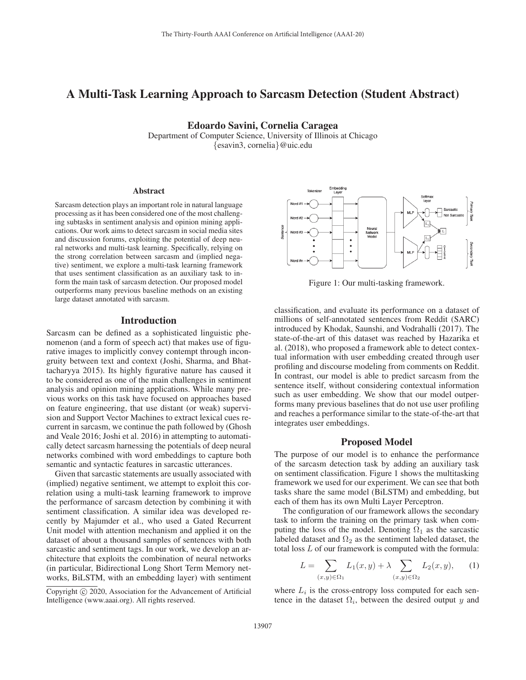# A Multi-Task Learning Approach to Sarcasm Detection (Student Abstract)

Edoardo Savini, Cornelia Caragea

Department of Computer Science, University of Illinois at Chicago {esavin3, cornelia}@uic.edu

#### Abstract

Sarcasm detection plays an important role in natural language processing as it has been considered one of the most challenging subtasks in sentiment analysis and opinion mining applications. Our work aims to detect sarcasm in social media sites and discussion forums, exploiting the potential of deep neural networks and multi-task learning. Specifically, relying on the strong correlation between sarcasm and (implied negative) sentiment, we explore a multi-task learning framework that uses sentiment classification as an auxiliary task to inform the main task of sarcasm detection. Our proposed model outperforms many previous baseline methods on an existing large dataset annotated with sarcasm.

### Introduction

Sarcasm can be defined as a sophisticated linguistic phenomenon (and a form of speech act) that makes use of figurative images to implicitly convey contempt through incongruity between text and context (Joshi, Sharma, and Bhattacharyya 2015). Its highly figurative nature has caused it to be considered as one of the main challenges in sentiment analysis and opinion mining applications. While many previous works on this task have focused on approaches based on feature engineering, that use distant (or weak) supervision and Support Vector Machines to extract lexical cues recurrent in sarcasm, we continue the path followed by (Ghosh and Veale 2016; Joshi et al. 2016) in attempting to automatically detect sarcasm harnessing the potentials of deep neural networks combined with word embeddings to capture both semantic and syntactic features in sarcastic utterances.

Given that sarcastic statements are usually associated with (implied) negative sentiment, we attempt to exploit this correlation using a multi-task learning framework to improve the performance of sarcasm detection by combining it with sentiment classification. A similar idea was developed recently by Majumder et al., who used a Gated Recurrent Unit model with attention mechanism and applied it on the dataset of about a thousand samples of sentences with both sarcastic and sentiment tags. In our work, we develop an architecture that exploits the combination of neural networks (in particular, Bidirectional Long Short Term Memory networks, BiLSTM, with an embedding layer) with sentiment



Figure 1: Our multi-tasking framework.

classification, and evaluate its performance on a dataset of millions of self-annotated sentences from Reddit (SARC) introduced by Khodak, Saunshi, and Vodrahalli (2017). The state-of-the-art of this dataset was reached by Hazarika et al. (2018), who proposed a framework able to detect contextual information with user embedding created through user profiling and discourse modeling from comments on Reddit. In contrast, our model is able to predict sarcasm from the sentence itself, without considering contextual information such as user embedding. We show that our model outperforms many previous baselines that do not use user profiling and reaches a performance similar to the state-of-the-art that integrates user embeddings.

# Proposed Model

The purpose of our model is to enhance the performance of the sarcasm detection task by adding an auxiliary task on sentiment classification. Figure 1 shows the multitasking framework we used for our experiment. We can see that both tasks share the same model (BiLSTM) and embedding, but each of them has its own Multi Layer Perceptron.

The configuration of our framework allows the secondary task to inform the training on the primary task when computing the loss of the model. Denoting  $\Omega_1$  as the sarcastic labeled dataset and  $\Omega_2$  as the sentiment labeled dataset, the total loss L of our framework is computed with the formula:

$$
L = \sum_{(x,y)\in\Omega_1} L_1(x,y) + \lambda \sum_{(x,y)\in\Omega_2} L_2(x,y), \quad (1)
$$

where  $L_i$  is the cross-entropy loss computed for each sentence in the dataset  $\Omega_i$ , between the desired output y and

Copyright  $\odot$  2020, Association for the Advancement of Artificial Intelligence (www.aaai.org). All rights reserved.